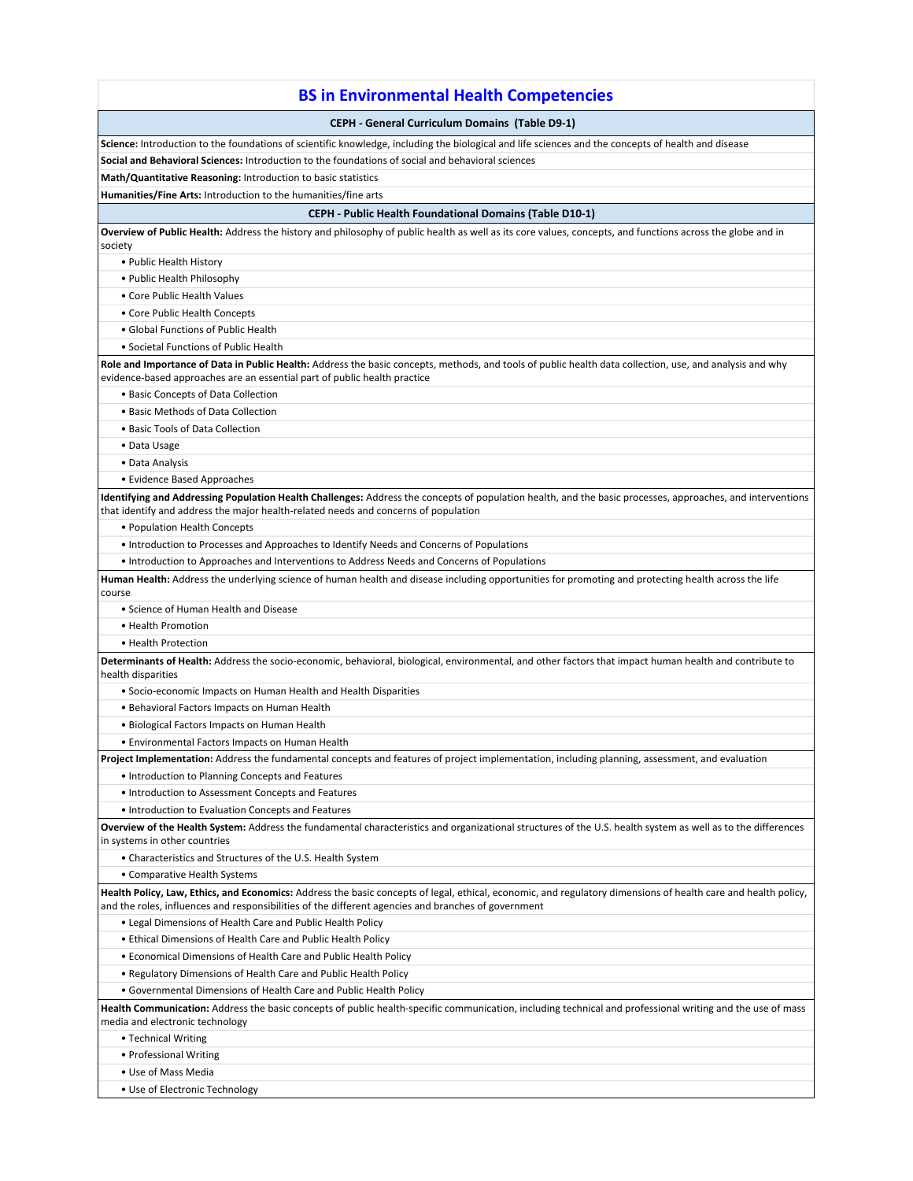| <b>BS in Environmental Health Competencies</b>                                                                                                                                                                                                                        |
|-----------------------------------------------------------------------------------------------------------------------------------------------------------------------------------------------------------------------------------------------------------------------|
| <b>CEPH - General Curriculum Domains (Table D9-1)</b>                                                                                                                                                                                                                 |
| Science: Introduction to the foundations of scientific knowledge, including the biological and life sciences and the concepts of health and disease                                                                                                                   |
| Social and Behavioral Sciences: Introduction to the foundations of social and behavioral sciences                                                                                                                                                                     |
| Math/Quantitative Reasoning: Introduction to basic statistics                                                                                                                                                                                                         |
| Humanities/Fine Arts: Introduction to the humanities/fine arts                                                                                                                                                                                                        |
| <b>CEPH - Public Health Foundational Domains (Table D10-1)</b>                                                                                                                                                                                                        |
| Overview of Public Health: Address the history and philosophy of public health as well as its core values, concepts, and functions across the globe and in<br>society                                                                                                 |
| • Public Health History                                                                                                                                                                                                                                               |
| • Public Health Philosophy                                                                                                                                                                                                                                            |
| • Core Public Health Values                                                                                                                                                                                                                                           |
| • Core Public Health Concepts                                                                                                                                                                                                                                         |
| • Global Functions of Public Health                                                                                                                                                                                                                                   |
| • Societal Functions of Public Health                                                                                                                                                                                                                                 |
| Role and Importance of Data in Public Health: Address the basic concepts, methods, and tools of public health data collection, use, and analysis and why<br>evidence-based approaches are an essential part of public health practice                                 |
| • Basic Concepts of Data Collection                                                                                                                                                                                                                                   |
| • Basic Methods of Data Collection                                                                                                                                                                                                                                    |
| • Basic Tools of Data Collection                                                                                                                                                                                                                                      |
| • Data Usage                                                                                                                                                                                                                                                          |
| • Data Analysis                                                                                                                                                                                                                                                       |
| • Evidence Based Approaches                                                                                                                                                                                                                                           |
| Identifying and Addressing Population Health Challenges: Address the concepts of population health, and the basic processes, approaches, and interventions<br>that identify and address the major health-related needs and concerns of population                     |
| • Population Health Concepts                                                                                                                                                                                                                                          |
| • Introduction to Processes and Approaches to Identify Needs and Concerns of Populations                                                                                                                                                                              |
| • Introduction to Approaches and Interventions to Address Needs and Concerns of Populations                                                                                                                                                                           |
| Human Health: Address the underlying science of human health and disease including opportunities for promoting and protecting health across the life<br>course                                                                                                        |
| • Science of Human Health and Disease                                                                                                                                                                                                                                 |
| • Health Promotion                                                                                                                                                                                                                                                    |
| • Health Protection                                                                                                                                                                                                                                                   |
| Determinants of Health: Address the socio-economic, behavioral, biological, environmental, and other factors that impact human health and contribute to<br>health disparities                                                                                         |
| • Socio-economic Impacts on Human Health and Health Disparities                                                                                                                                                                                                       |
| • Behavioral Factors Impacts on Human Health                                                                                                                                                                                                                          |
| · Biological Factors Impacts on Human Health                                                                                                                                                                                                                          |
| • Environmental Factors Impacts on Human Health                                                                                                                                                                                                                       |
| Project Implementation: Address the fundamental concepts and features of project implementation, including planning, assessment, and evaluation                                                                                                                       |
| • Introduction to Planning Concepts and Features                                                                                                                                                                                                                      |
| • Introduction to Assessment Concepts and Features                                                                                                                                                                                                                    |
| • Introduction to Evaluation Concepts and Features                                                                                                                                                                                                                    |
| Overview of the Health System: Address the fundamental characteristics and organizational structures of the U.S. health system as well as to the differences<br>in systems in other countries                                                                         |
| • Characteristics and Structures of the U.S. Health System                                                                                                                                                                                                            |
| • Comparative Health Systems                                                                                                                                                                                                                                          |
| Health Policy, Law, Ethics, and Economics: Address the basic concepts of legal, ethical, economic, and regulatory dimensions of health care and health policy,<br>and the roles, influences and responsibilities of the different agencies and branches of government |
| . Legal Dimensions of Health Care and Public Health Policy                                                                                                                                                                                                            |
| • Ethical Dimensions of Health Care and Public Health Policy                                                                                                                                                                                                          |
| • Economical Dimensions of Health Care and Public Health Policy                                                                                                                                                                                                       |
| . Regulatory Dimensions of Health Care and Public Health Policy                                                                                                                                                                                                       |
| • Governmental Dimensions of Health Care and Public Health Policy                                                                                                                                                                                                     |
| Health Communication: Address the basic concepts of public health-specific communication, including technical and professional writing and the use of mass<br>media and electronic technology                                                                         |
| • Technical Writing                                                                                                                                                                                                                                                   |
| • Professional Writing                                                                                                                                                                                                                                                |
| • Use of Mass Media                                                                                                                                                                                                                                                   |
| • Use of Electronic Technology                                                                                                                                                                                                                                        |